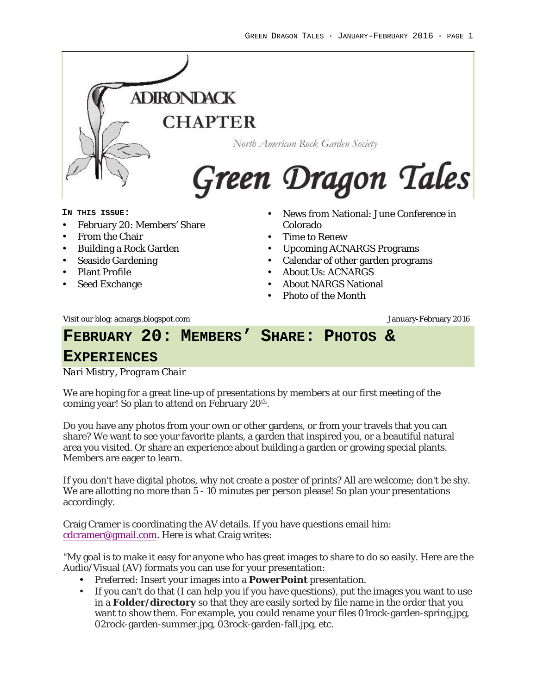

- Calendar of other garden programs
- About Us: ACNARGS
- About NARGS National
- Photo of the Month

Visit our blog: acnargs.blogspot.com January-February 2016

Seaside Gardening

• Plant Profile Seed Exchange

## **FEBRUARY 20: MEMBERS' SHARE: PHOTOS &**

#### **EXPERIENCES**

*Nari Mistry, Program Chair*

We are hoping for a great line-up of presentations by members at our first meeting of the coming year! So plan to attend on February 20<sup>th</sup>.

Do you have any photos from your own or other gardens, or from your travels that you can share? We want to see your favorite plants, a garden that inspired you, or a beautiful natural area you visited. Or share an experience about building a garden or growing special plants. Members are eager to learn.

If you don't have digital photos, why not create a poster of prints? All are welcome; don't be shy. We are allotting no more than 5 - 10 minutes per person please! So plan your presentations accordingly.

Craig Cramer is coordinating the AV details. If you have questions email him: cdcramer@gmail.com. Here is what Craig writes:

"My goal is to make it easy for anyone who has great images to share to do so easily. Here are the Audio/Visual (AV) formats you can use for your presentation:

- Preferred: Insert your images into a **PowerPoint** presentation.
- If you can't do that (I can help you if you have questions), put the images you want to use in a **Folder/directory** so that they are easily sorted by file name in the order that you want to show them. For example, you could rename your files 01rock-garden-spring.jpg, 02rock-garden-summer.jpg, 03rock-garden-fall.jpg, etc.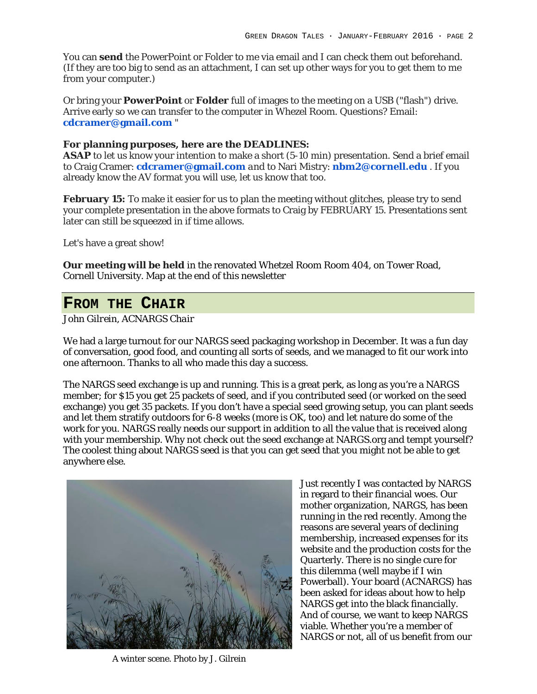You can **send** the PowerPoint or Folder to me via email and I can check them out beforehand. (If they are too big to send as an attachment, I can set up other ways for you to get them to me from your computer.)

Or bring your **PowerPoint** or **Folder** full of images to the meeting on a USB ("flash") drive. Arrive early so we can transfer to the computer in Whezel Room. Questions? Email: **cdcramer@gmail.com** "

**For planning purposes, here are the DEADLINES: ASAP** to let us know your intention to make a short (5-10 min) presentation*.* Send a brief email to Craig Cramer: **cdcramer@gmail.com** *and* to Nari Mistry: **nbm2@cornell.edu** . If you already know the AV format you will use, let us know that too.

**February 15:** To make it easier for us to plan the meeting without glitches, please try to send your complete presentation in the above formats to Craig by FEBRUARY 15. Presentations sent later can still be squeezed in if time allows.

Let's have a great show!

**Our meeting will be held** in the renovated Whetzel Room Room 404, on Tower Road, Cornell University. Map at the end of this newsletter

#### **FROM THE CHAIR**

*John Gilrein, ACNARGS Chair*

We had a large turnout for our NARGS seed packaging workshop in December. It was a fun day of conversation, good food, and counting all sorts of seeds, and we managed to fit our work into one afternoon. Thanks to all who made this day a success.

The NARGS seed exchange is up and running. This is a great perk, as long as you're a NARGS member; for \$15 you get 25 packets of seed, and if you contributed seed (or worked on the seed exchange) you get 35 packets. If you don't have a special seed growing setup, you can plant seeds and let them stratify outdoors for 6-8 weeks (more is OK, too) and let nature do some of the work for you. NARGS really needs our support in addition to all the value that is received along with your membership. Why not check out the seed exchange at NARGS.org and tempt yourself? The coolest thing about NARGS seed is that you can get seed that you might not be able to get anywhere else.



A winter scene. Photo by J. Gilrein

Just recently I was contacted by NARGS in regard to their financial woes. Our mother organization, NARGS, has been running in the red recently. Among the reasons are several years of declining membership, increased expenses for its website and the production costs for the Quarterly. There is no single cure for this dilemma (well maybe if I win Powerball). Your board (ACNARGS) has been asked for ideas about how to help NARGS get into the black financially. And of course, we want to keep NARGS viable. Whether you're a member of NARGS or not, all of us benefit from our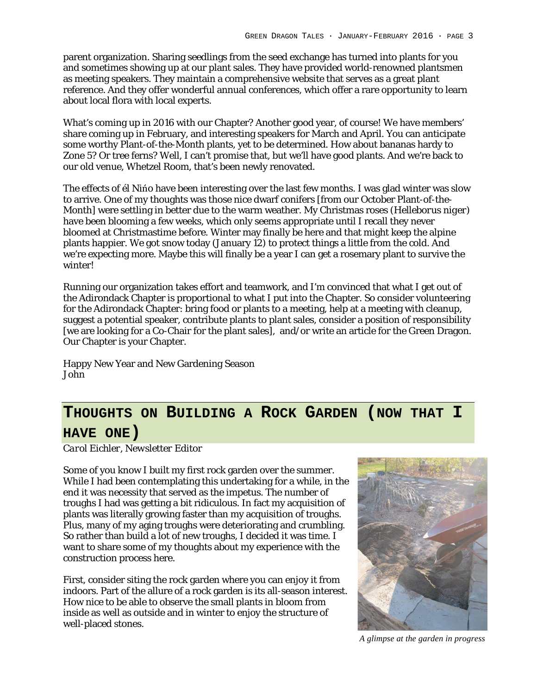parent organization. Sharing seedlings from the seed exchange has turned into plants for you and sometimes showing up at our plant sales. They have provided world-renowned plantsmen as meeting speakers. They maintain a comprehensive website that serves as a great plant reference. And they offer wonderful annual conferences, which offer a rare opportunity to learn about local flora with local experts.

What's coming up in 2016 with our Chapter? Another good year, of course! We have members' share coming up in February, and interesting speakers for March and April. You can anticipate some worthy Plant-of-the-Month plants, yet to be determined. How about bananas hardy to Zone 5? Or tree ferns? Well, I can't promise that, but we'll have good plants. And we're back to our old venue, Whetzel Room, that's been newly renovated.

The effects of él Nińo have been interesting over the last few months. I was glad winter was slow to arrive. One of my thoughts was those nice dwarf conifers [from our October Plant-of-the-Month] were settling in better due to the warm weather. My Christmas roses (*Helleborus niger*) have been blooming a few weeks, which only seems appropriate until I recall they never bloomed at Christmastime before. Winter may finally be here and that might keep the alpine plants happier. We got snow today (January 12) to protect things a little from the cold. And we're expecting more. Maybe this will finally be a year I can get a rosemary plant to survive the winter!

Running our organization takes effort and teamwork, and I'm convinced that what I get out of the Adirondack Chapter is proportional to what I put into the Chapter. So consider volunteering for the Adirondack Chapter: bring food or plants to a meeting, help at a meeting with cleanup, suggest a potential speaker, contribute plants to plant sales, consider a position of responsibility [we are looking for a Co-Chair for the plant sales], and/or write an article for the Green Dragon. Our Chapter is your Chapter.

Happy New Year and New Gardening Season John

# **THOUGHTS ON BUILDING A ROCK GARDEN (NOW THAT I HAVE ONE)**

*Carol Eichler, Newsletter Editor*

Some of you know I built my first rock garden over the summer. While I had been contemplating this undertaking for a while, in the end it was necessity that served as the impetus. The number of troughs I had was getting a bit ridiculous. In fact my acquisition of plants was literally growing faster than my acquisition of troughs. Plus, many of my aging troughs were deteriorating and crumbling. So rather than build a lot of new troughs, I decided it was time. I want to share some of my thoughts about my experience with the construction process here.

First, consider siting the rock garden where you can enjoy it from indoors. Part of the allure of a rock garden is its all-season interest. How nice to be able to observe the small plants in bloom from inside as well as outside and in winter to enjoy the structure of well-placed stones.



*A glimpse at the garden in progress*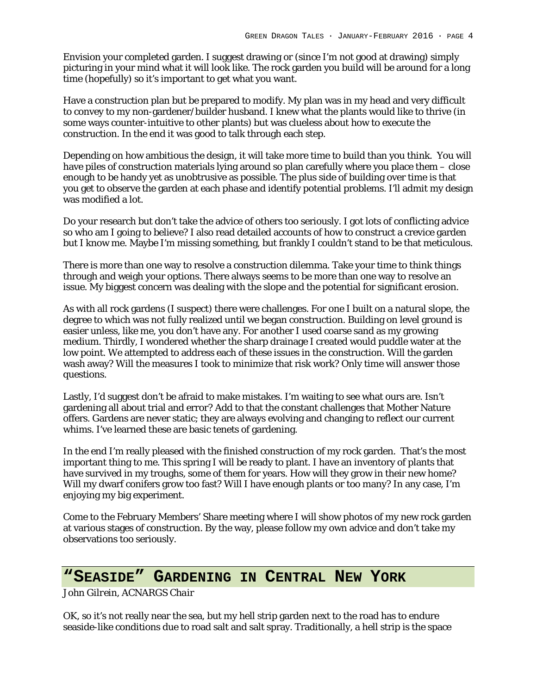Envision your completed garden. I suggest drawing or (since I'm not good at drawing) simply picturing in your mind what it will look like. The rock garden you build will be around for a long time (hopefully) so it's important to get what you want.

Have a construction plan but be prepared to modify. My plan was in my head and very difficult to convey to my non-gardener/builder husband. I knew what the plants would like to thrive (in some ways counter-intuitive to other plants) but was clueless about how to execute the construction. In the end it was good to talk through each step.

Depending on how ambitious the design, it will take more time to build than you think. You will have piles of construction materials lying around so plan carefully where you place them – close enough to be handy yet as unobtrusive as possible. The plus side of building over time is that you get to observe the garden at each phase and identify potential problems. I'll admit my design was modified a lot.

Do your research but don't take the advice of others too seriously. I got lots of conflicting advice so who am I going to believe? I also read detailed accounts of how to construct a crevice garden but I know me. Maybe I'm missing something, but frankly I couldn't stand to be that meticulous.

There is more than one way to resolve a construction dilemma. Take your time to think things through and weigh your options. There always seems to be more than one way to resolve an issue. My biggest concern was dealing with the slope and the potential for significant erosion.

As with all rock gardens (I suspect) there were challenges. For one I built on a natural slope, the degree to which was not fully realized until we began construction. Building on level ground is easier unless, like me, you don't have any. For another I used coarse sand as my growing medium. Thirdly, I wondered whether the sharp drainage I created would puddle water at the low point. We attempted to address each of these issues in the construction. Will the garden wash away? Will the measures I took to minimize that risk work? Only time will answer those questions.

Lastly, I'd suggest don't be afraid to make mistakes. I'm waiting to see what ours are. Isn't gardening all about trial and error? Add to that the constant challenges that Mother Nature offers. Gardens are never static; they are always evolving and changing to reflect our current whims. I've learned these are basic tenets of gardening.

In the end I'm really pleased with the finished construction of my rock garden. That's the most important thing to me. This spring I will be ready to plant. I have an inventory of plants that have survived in my troughs, some of them for years. How will they grow in their new home? Will my dwarf conifers grow too fast? Will I have enough plants or too many? In any case, I'm enjoying my big experiment.

Come to the February Members' Share meeting where I will show photos of my new rock garden at various stages of construction. By the way, please follow my own advice and don't take my observations too seriously.

# **"SEASIDE" GARDENING IN CENTRAL NEW YORK**

*John Gilrein, ACNARGS Chair*

OK, so it's not really near the sea, but my hell strip garden next to the road has to endure seaside-like conditions due to road salt and salt spray. Traditionally, a hell strip is the space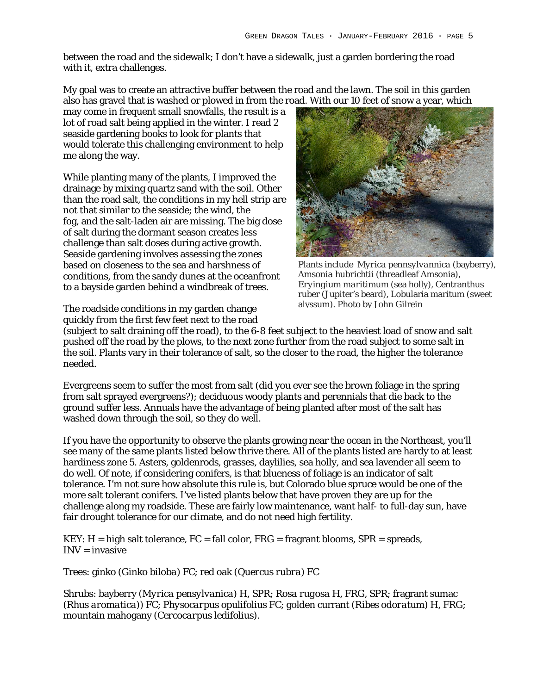between the road and the sidewalk; I don't have a sidewalk, just a garden bordering the road with it, extra challenges.

My goal was to create an attractive buffer between the road and the lawn. The soil in this garden also has gravel that is washed or plowed in from the road. With our 10 feet of snow a year, which

may come in frequent small snowfalls, the result is a lot of road salt being applied in the winter. I read 2 seaside gardening books to look for plants that would tolerate this challenging environment to help me along the way.

While planting many of the plants, I improved the drainage by mixing quartz sand with the soil. Other than the road salt, the conditions in my hell strip are not that similar to the seaside; the wind, the fog, and the salt-laden air are missing. The big dose of salt during the dormant season creates less challenge than salt doses during active growth. Seaside gardening involves assessing the zones based on closeness to the sea and harshness of conditions, from the sandy dunes at the oceanfront to a bayside garden behind a windbreak of trees.

The roadside conditions in my garden change quickly from the first few feet next to the road



Plants include *Myrica pennsylvannica* (bayberry), *Amsonia hubrichtii* (threadleaf Amsonia), *Eryingium maritimum* (sea holly), Centranthus ruber (Jupiter's beard), Lobularia maritum (sweet alyssum). Photo by John Gilrein

(subject to salt draining off the road), to the 6-8 feet subject to the heaviest load of snow and salt pushed off the road by the plows, to the next zone further from the road subject to some salt in the soil. Plants vary in their tolerance of salt, so the closer to the road, the higher the tolerance needed.

Evergreens seem to suffer the most from salt (did you ever see the brown foliage in the spring from salt sprayed evergreens?); deciduous woody plants and perennials that die back to the ground suffer less. Annuals have the advantage of being planted after most of the salt has washed down through the soil, so they do well.

If you have the opportunity to observe the plants growing near the ocean in the Northeast, you'll see many of the same plants listed below thrive there. All of the plants listed are hardy to at least hardiness zone 5. Asters, goldenrods, grasses, daylilies, sea holly, and sea lavender all seem to do well. Of note, if considering conifers, is that blueness of foliage is an indicator of salt tolerance. I'm not sure how absolute this rule is, but Colorado blue spruce would be one of the more salt tolerant conifers. I've listed plants below that have proven they are up for the challenge along my roadside. These are fairly low maintenance, want half- to full-day sun, have fair drought tolerance for our climate, and do not need high fertility.

 $KEY: H = high salt tolerance, FC = fall color, FRG = fragment blooms, SPR = spreads,$  $INV = invasive$ 

Trees: ginko (*Ginko biloba*) FC; red oak (*Quercus rubra*) FC

Shrubs: bayberry (*Myrica pensylvanica*) H, SPR; *Rosa rugosa* H, FRG, SPR; fragrant sumac (*Rhus aromatica))* FC; *Physocarpus opulifolius* FC; golden currant (*Ribes odoratum*) H, FRG; mountain mahogany (*Cercocarpus ledifolius*).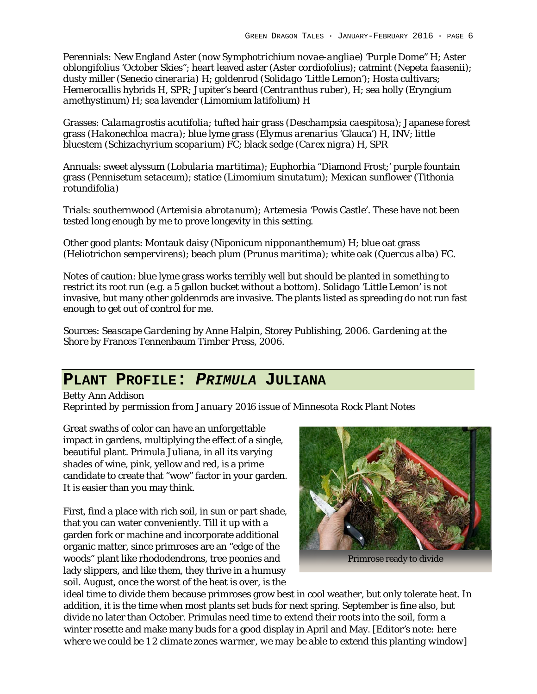Perennials: New England Aster (now S*ymphotrichium novae-angliae*) 'Purple Dome" H; *Aster oblongifolius* 'October Skies"; heart leaved aster (*Aster cordiofolius*); catmint (*Nepeta faasenii*); dusty miller (*Senecio cineraria*) H; goldenrod (*Solidago* 'Little Lemon'); Hosta cultivars; *Hemerocallis* hybrids H, SPR; Jupiter's beard (*Centranthus ruber*), H; sea holly (Eryngium *amethystinum*) H; sea lavender (*Limomium latifolium*) H

Grasses: *Calamagrostis acutifolia*; tufted hair grass (*Deschampsia caespitosa*); Japanese forest grass (*Hakonechloa macra*); blue lyme grass (*Elymus arenariu*s 'Glauca') H, INV; little bluestem (*Schizachyrium scoparium*) FC; black sedge (*Carex nigra*) H, SPR

Annuals: sweet alyssum (*Lobularia martitima*); Euphorbia "Diamond Frost;' purple fountain grass (*Pennisetum setaceum*); statice (*Limomium sinutatum*); Mexican sunflower (*Tithonia rotundifolia*)

Trials: southernwood (*Artemisia abrotanum*); *Artemesia* 'Powis Castle'. These have not been tested long enough by me to prove longevity in this setting.

Other good plants: Montauk daisy (*Niponicum nipponanthemum*) H; blue oat grass (*Heliotrichon sempervirens*); beach plum (*Prunus maritima*); white oak (*Quercus alba*) FC.

Notes of caution: blue lyme grass works terribly well but should be planted in something to restrict its root run (e.g. a 5 gallon bucket without a bottom). Solidago 'Little Lemon' is not invasive, but many other goldenrods are invasive. The plants listed as spreading do not run fast enough to get out of control for me.

Sources: *Seascape Gardening* by Anne Halpin, Storey Publishing, 2006. *Gardening at the Shore* by Frances Tennenbaum Timber Press, 2006.

#### **PLANT PROFILE:** *PRIMULA* **JULIANA**

*Betty Ann Addison Reprinted by permission from January 2016 issue of Minnesota Rock Plant Notes*

Great swaths of color can have an unforgettable impact in gardens, multiplying the effect of a single, beautiful plant. Primula Juliana, in all its varying shades of wine, pink, yellow and red, is a prime candidate to create that "wow" factor in your garden. It is easier than you may think.

First, find a place with rich soil, in sun or part shade, that you can water conveniently. Till it up with a garden fork or machine and incorporate additional organic matter, since primroses are an "edge of the woods" plant like rhododendrons, tree peonies and lady slippers, and like them, they thrive in a humusy soil. August, once the worst of the heat is over, is the



Primrose ready to divide

ideal time to divide them because primroses grow best in cool weather, but only tolerate heat. In addition, it is the time when most plants set buds for next spring. September is fine also, but divide no later than October. Primulas need time to extend their roots into the soil, form a winter rosette and make many buds for a good display in April and May. *[Editor's note: here where we could be 1 2 climate zones warmer, we may be able to extend this planting window]*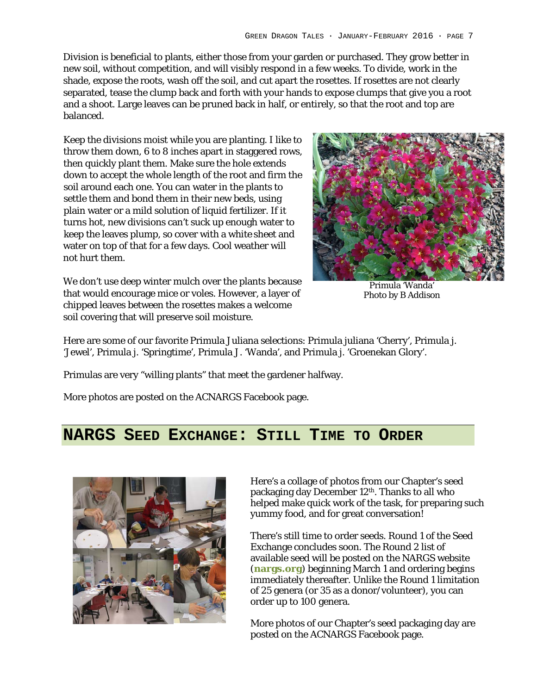Division is beneficial to plants, either those from your garden or purchased. They grow better in new soil, without competition, and will visibly respond in a few weeks. To divide, work in the shade, expose the roots, wash off the soil, and cut apart the rosettes. If rosettes are not clearly separated, tease the clump back and forth with your hands to expose clumps that give you a root and a shoot. Large leaves can be pruned back in half, or entirely, so that the root and top are balanced.

Keep the divisions moist while you are planting. I like to throw them down, 6 to 8 inches apart in staggered rows, then quickly plant them. Make sure the hole extends down to accept the whole length of the root and firm the soil around each one. You can water in the plants to settle them and bond them in their new beds, using plain water or a mild solution of liquid fertilizer. If it turns hot, new divisions can't suck up enough water to keep the leaves plump, so cover with a white sheet and water on top of that for a few days. Cool weather will not hurt them.



We don't use deep winter mulch over the plants because that would encourage mice or voles. However, a layer of chipped leaves between the rosettes makes a welcome soil covering that will preserve soil moisture.

Primula 'Wanda' Photo by B Addison

Here are some of our favorite Primula Juliana selections: Primula juliana 'Cherry', Primula j. 'Jewel', Primula j. 'Springtime', Primula J. 'Wanda', and Primula j. 'Groenekan Glory'.

Primulas are very "willing plants" that meet the gardener halfway.

More photos are posted on the ACNARGS Facebook page.

#### **NARGS SEED EXCHANGE: STILL TIME TO ORDER**



Here's a collage of photos from our Chapter's seed packaging day December 12<sup>th</sup>. Thanks to all who helped make quick work of the task, for preparing such yummy food, and for great conversation!

There's still time to order seeds. Round 1 of the Seed Exchange concludes soon. The Round 2 list of available seed will be posted on the NARGS website (**nargs.org**) beginning March 1 and ordering begins immediately thereafter. Unlike the Round 1 limitation of 25 genera (or 35 as a donor/volunteer), you can order up to 100 genera.

More photos of our Chapter's seed packaging day are posted on the ACNARGS Facebook page.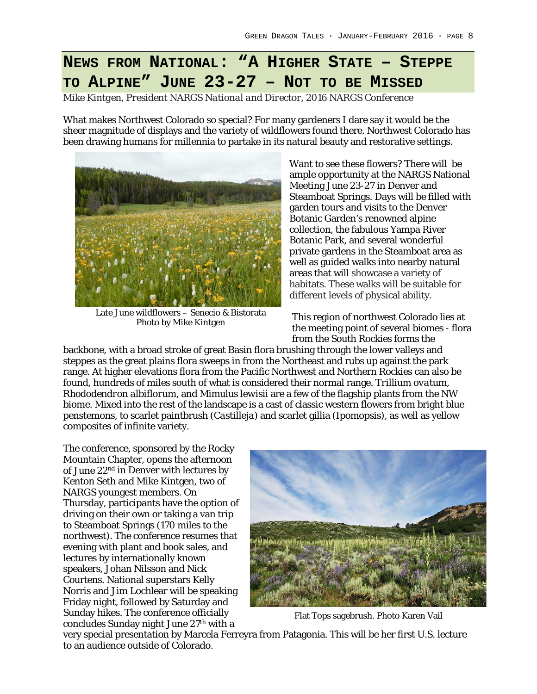# **NEWS FROM NATIONAL: "A HIGHER STATE – STEPPE TO ALPINE" JUNE 23-27 – NOT TO BE MISSED**

*Mike Kintgen, President NARGS National and Director, 2016 NARGS Conference*

What makes Northwest Colorado so special? For many gardeners I dare say it would be the sheer magnitude of displays and the variety of wildflowers found there. Northwest Colorado has been drawing humans for millennia to partake in its natural beauty and restorative settings.



Late June wildflowers – Senecio & Bistorata Photo by Mike Kintgen

Want to see these flowers? There will be ample opportunity at the NARGS National Meeting June 23-27 in Denver and Steamboat Springs. Days will be filled with garden tours and visits to the Denver Botanic Garden's renowned alpine collection, the fabulous Yampa River Botanic Park, and several wonderful private gardens in the Steamboat area as well as guided walks into nearby natural areas that will showcase a variety of habitats. These walks will be suitable for different levels of physical ability.

This region of northwest Colorado lies at the meeting point of several biomes - flora from the South Rockies forms the

backbone, with a broad stroke of great Basin flora brushing through the lower valleys and steppes as the great plains flora sweeps in from the Northeast and rubs up against the park range. At higher elevations flora from the Pacific Northwest and Northern Rockies can also be found, hundreds of miles south of what is considered their normal range*. Trillium ovatum, Rhododendron albiflorum,* and *Mimulus lewisii* are a few of the flagship plants from the NW biome. Mixed into the rest of the landscape is a cast of classic western flowers from bright blue penstemons, to scarlet paintbrush (*Castilleja*) and scarlet gillia (*Ipomopsis*), as well as yellow composites of infinite variety.

The conference, sponsored by the Rocky Mountain Chapter, opens the afternoon of June 22<sup>nd</sup> in Denver with lectures by Kenton Seth and Mike Kintgen, two of NARGS youngest members. On Thursday, participants have the option of driving on their own or taking a van trip to Steamboat Springs (170 miles to the northwest). The conference resumes that evening with plant and book sales, and lectures by internationally known speakers, Johan Nilsson and Nick Courtens. National superstars Kelly Norris and Jim Lochlear will be speaking Friday night, followed by Saturday and Sunday hikes. The conference officially concludes Sunday night June 27<sup>th</sup> with a



Flat Tops sagebrush. Photo Karen Vail

very special presentation by Marcela Ferreyra from Patagonia. This will be her first U.S. lecture to an audience outside of Colorado.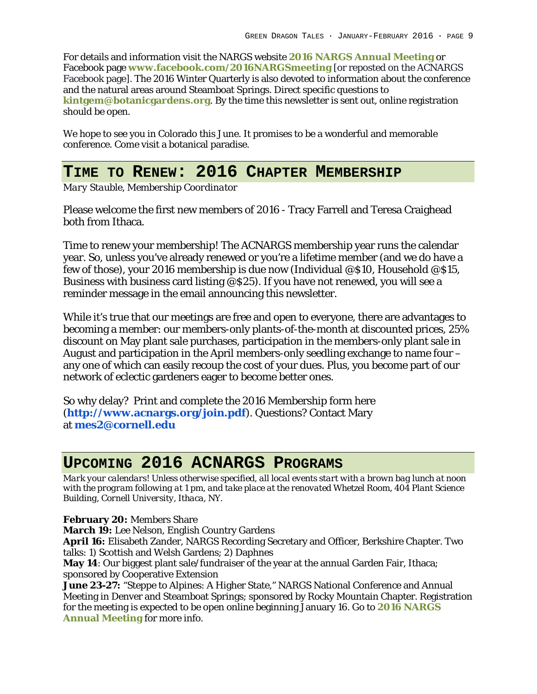For details and information visit the NARGS website **2016 NARGS Annual Meeting** or Facebook page **www.facebook.com/2016NARGSmeeting** [or reposted on the ACNARGS Facebook page]. The 2016 Winter Quarterly is also devoted to information about the conference and the natural areas around Steamboat Springs. Direct specific questions to **kintgem@botanicgardens.org**. By the time this newsletter is sent out, online registration should be open.

We hope to see you in Colorado this June. It promises to be a wonderful and memorable conference. Come visit a botanical paradise.

### **TIME TO RENEW: 2016 CHAPTER MEMBERSHIP**

*Mary Stauble, Membership Coordinator*

Please welcome the first new members of 2016 - Tracy Farrell and Teresa Craighead both from Ithaca.

Time to renew your membership! The ACNARGS membership year runs the calendar year. So, unless you've already renewed or you're a lifetime member (and we do have a few of those), your 2016 membership is due now (Individual @\$10, Household @\$15, Business with business card listing @\$25). If you have not renewed, you will see a reminder message in the email announcing this newsletter.

While it's true that our meetings are free and open to everyone, there are advantages to becoming a member: our members-only plants-of-the-month at discounted prices, 25% discount on May plant sale purchases, participation in the members-only plant sale in August and participation in the April members-only seedling exchange to name four – any one of which can easily recoup the cost of your dues. Plus, you become part of our network of eclectic gardeners eager to become better ones.

So why delay? Print and complete the 2016 Membership form here (**http://www.acnargs.org/join.pdf**). Questions? Contact Mary at **mes2@cornell.edu**

# **UPCOMING 2016 ACNARGS PROGRAMS**

*Mark your calendars! Unless otherwise specified, all local events start with a brown bag lunch at noon with the program following at 1 pm, and take place at the renovated Whetzel Room, 404 Plant Science Building, Cornell University, Ithaca, NY.*

**February 20:** Members Share

**March 19:** Lee Nelson, English Country Gardens

**April 16:** Elisabeth Zander, NARGS Recording Secretary and Officer, Berkshire Chapter. Two talks: 1) Scottish and Welsh Gardens; 2) Daphnes

**May 14**: Our biggest plant sale/fundraiser of the year at the annual Garden Fair, Ithaca; sponsored by Cooperative Extension

**June 23-27:** "Steppe to Alpines: A Higher State," NARGS National Conference and Annual Meeting in Denver and Steamboat Springs; sponsored by Rocky Mountain Chapter. Registration for the meeting is expected to be open online beginning January 16. Go to **2016 NARGS Annual Meeting** for more info.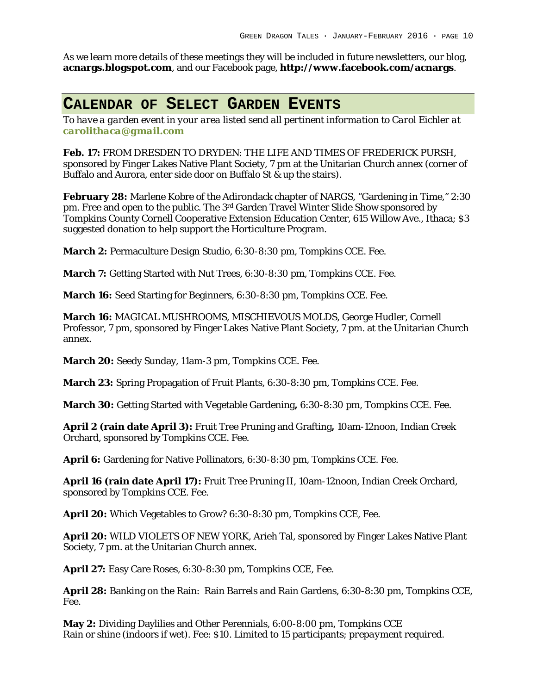As we learn more details of these meetings they will be included in future newsletters, our blog, **acnargs.blogspot.com**, and our Facebook page, **http://www.facebook.com/acnargs**.

#### **CALENDAR OF SELECT GARDEN EVENTS**

*To have a garden event in your area listed send all pertinent information to Carol Eichler at carolithaca@gmail.com*

**Feb. 17:** FROM DRESDEN TO DRYDEN: THE LIFE AND TIMES OF FREDERICK PURSH, sponsored by Finger Lakes Native Plant Society, 7 pm at the Unitarian Church annex (corner of Buffalo and Aurora, enter side door on Buffalo St & up the stairs).

**February 28:** Marlene Kobre of the Adirondack chapter of NARGS, "Gardening in Time," 2:30 pm. Free and open to the public. The 3rd Garden Travel Winter Slide Show sponsored by Tompkins County Cornell Cooperative Extension Education Center, 615 Willow Ave., Ithaca; \$3 suggested donation to help support the Horticulture Program.

**March 2:** Permaculture Design Studio, 6:30-8:30 pm, Tompkins CCE. Fee.

**March 7:** Getting Started with Nut Trees, 6:30-8:30 pm, Tompkins CCE. Fee.

**March 16:** Seed Starting for Beginners, 6:30-8:30 pm, Tompkins CCE. Fee.

**March 16:** MAGICAL MUSHROOMS, MISCHIEVOUS MOLDS, George Hudler, Cornell Professor, 7 pm, sponsored by Finger Lakes Native Plant Society, 7 pm. at the Unitarian Church annex.

**March 20:** Seedy Sunday, 11am-3 pm, Tompkins CCE. Fee.

**March 23:** Spring Propagation of Fruit Plants, 6:30-8:30 pm, Tompkins CCE. Fee.

**March 30:** Getting Started with Vegetable Gardening**,** 6:30-8:30 pm, Tompkins CCE. Fee.

**April 2 (rain date April 3):** Fruit Tree Pruning and Grafting**,** 10am-12noon, Indian Creek Orchard, sponsored by Tompkins CCE. Fee.

**April 6:** Gardening for Native Pollinators, 6:30-8:30 pm, Tompkins CCE. Fee.

**April 16 (rain date April 17):** Fruit Tree Pruning II, 10am-12noon, Indian Creek Orchard, sponsored by Tompkins CCE. Fee.

**April 20:** Which Vegetables to Grow? 6:30-8:30 pm, Tompkins CCE, Fee.

**April 20:** WILD VIOLETS OF NEW YORK, Arieh Tal, sponsored by Finger Lakes Native Plant Society, 7 pm. at the Unitarian Church annex.

**April 27:** Easy Care Roses, 6:30-8:30 pm, Tompkins CCE, Fee.

**April 28:** Banking on the Rain: Rain Barrels and Rain Gardens, 6:30-8:30 pm, Tompkins CCE, Fee.

**May 2:** Dividing Daylilies and Other Perennials, 6:00-8:00 pm, Tompkins CCE Rain or shine (indoors if wet). Fee: \$10. Limited to 15 participants; *prepayment required.*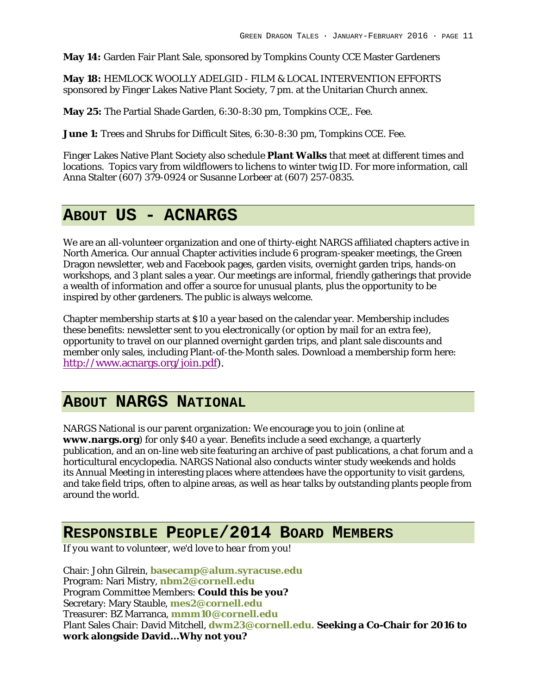**May 14:** Garden Fair Plant Sale, sponsored by Tompkins County CCE Master Gardeners

**May 18:** HEMLOCK WOOLLY ADELGID - FILM & LOCAL INTERVENTION EFFORTS sponsored by Finger Lakes Native Plant Society, 7 pm. at the Unitarian Church annex.

**May 25:** The Partial Shade Garden, 6:30-8:30 pm, Tompkins CCE,. Fee.

**June 1:** Trees and Shrubs for Difficult Sites, 6:30-8:30 pm, Tompkins CCE. Fee.

Finger Lakes Native Plant Society also schedule **Plant Walks** that meet at different times and locations. Topics vary from wildflowers to lichens to winter twig ID. For more information, call Anna Stalter (607) 379-0924 or Susanne Lorbeer at (607) 257-0835.

#### **ABOUT US - ACNARGS**

We are an all-volunteer organization and one of thirty-eight NARGS affiliated chapters active in North America. Our annual Chapter activities include 6 program-speaker meetings, the Green Dragon newsletter, web and Facebook pages, garden visits, overnight garden trips, hands-on workshops, and 3 plant sales a year. Our meetings are informal, friendly gatherings that provide a wealth of information and offer a source for unusual plants, plus the opportunity to be inspired by other gardeners. The public is always welcome.

Chapter membership starts at \$10 a year based on the calendar year. Membership includes these benefits: newsletter sent to you electronically (or option by mail for an extra fee), opportunity to travel on our planned overnight garden trips, and plant sale discounts and member only sales, including Plant-of-the-Month sales. Download a membership form here: http://www.acnargs.org/join.pdf).

# **ABOUT NARGS NATIONAL**

NARGS National is our parent organization: We encourage you to join (online at **www.nargs.org**) for only \$40 a year. Benefits include a seed exchange, a quarterly publication, and an on-line web site featuring an archive of past publications, a chat forum and a horticultural encyclopedia. NARGS National also conducts winter study weekends and holds its Annual Meeting in interesting places where attendees have the opportunity to visit gardens, and take field trips, often to alpine areas, as well as hear talks by outstanding plants people from around the world.

### **RESPONSIBLE PEOPLE/2014 BOARD MEMBERS**

*If you want to volunteer, we'd love to hear from you!*

Chair: John Gilrein, **basecamp@alum.syracuse.edu** Program: Nari Mistry, **nbm2@cornell.edu** Program Committee Members: **Could this be you?** Secretary: Mary Stauble, **mes2@cornell.edu** Treasurer: BZ Marranca, **mmm10@cornell.edu** Plant Sales Chair: David Mitchell, **dwm23@cornell.edu. Seeking a Co-Chair for 2016 to work alongside David…Why not you?**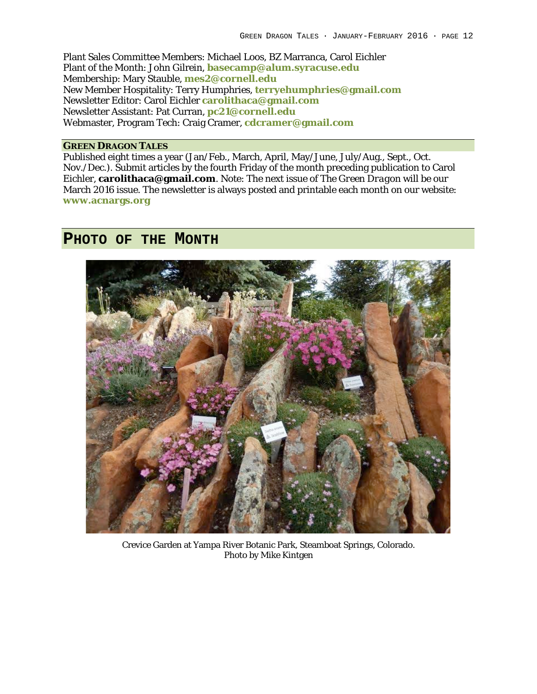Plant Sales Committee Members: Michael Loos, BZ Marranca, Carol Eichler Plant of the Month: John Gilrein, **basecamp@alum.syracuse.edu** Membership: Mary Stauble, **mes2@cornell.edu** New Member Hospitality: Terry Humphries, **terryehumphries@gmail.com** Newsletter Editor: Carol Eichler **carolithaca@gmail.com** Newsletter Assistant: Pat Curran, **pc21@cornell.edu** Webmaster, Program Tech: Craig Cramer, **cdcramer@gmail.com**

#### **GREEN DRAGON TALES**

Published eight times a year (Jan/Feb., March, April, May/June, July/Aug., Sept., Oct. Nov./Dec.). Submit articles by the fourth Friday of the month preceding publication to Carol Eichler, **carolithaca@gmail.com**. Note: The next issue of *The Green Dragon* will be our March 2016 issue. The newsletter is always posted and printable each month on our website: **www.acnargs.org**

#### **PHOTO OF THE MONTH**



Crevice Garden at Yampa River Botanic Park, Steamboat Springs, Colorado. Photo by Mike Kintgen